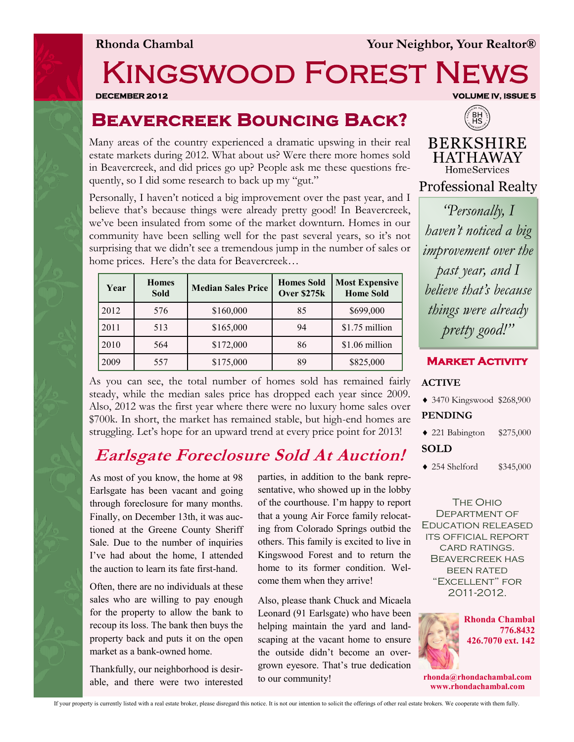# Kingswood Forest News

### **Beavercreek Bouncing Back?**

Many areas of the country experienced a dramatic upswing in their real estate markets during 2012. What about us? Were there more homes sold in Beavercreek, and did prices go up? People ask me these questions frequently, so I did some research to back up my "gut."

Personally, I haven't noticed a big improvement over the past year, and I believe that's because things were already pretty good! In Beavercreek, we've been insulated from some of the market downturn. Homes in our community have been selling well for the past several years, so it's not surprising that we didn't see a tremendous jump in the number of sales or home prices. Here's the data for Beavercreek…

| Year | <b>Homes</b><br><b>Sold</b> | <b>Median Sales Price</b> | <b>Homes Sold</b><br>Over \$275k | <b>Most Expensive</b><br><b>Home Sold</b> |
|------|-----------------------------|---------------------------|----------------------------------|-------------------------------------------|
| 2012 | 576                         | \$160,000                 | 85                               | \$699,000                                 |
| 2011 | 513                         | \$165,000                 | 94                               | \$1.75 million                            |
| 2010 | 564                         | \$172,000                 | 86                               | \$1.06 million                            |
| 2009 | 557                         | \$175,000                 | 89                               | \$825,000                                 |

As you can see, the total number of homes sold has remained fairly steady, while the median sales price has dropped each year since 2009. Also, 2012 was the first year where there were no luxury home sales over \$700k. In short, the market has remained stable, but high-end homes are struggling. Let's hope for an upward trend at every price point for 2013!

### **Earlsgate Foreclosure Sold At Auction!**

As most of you know, the home at 98 Earlsgate has been vacant and going through foreclosure for many months. Finally, on December 13th, it was auctioned at the Greene County Sheriff Sale. Due to the number of inquiries I've had about the home, I attended the auction to learn its fate first-hand.

Often, there are no individuals at these sales who are willing to pay enough for the property to allow the bank to recoup its loss. The bank then buys the property back and puts it on the open market as a bank-owned home.

Thankfully, our neighborhood is desirable, and there were two interested parties, in addition to the bank representative, who showed up in the lobby of the courthouse. I'm happy to report that a young Air Force family relocating from Colorado Springs outbid the others. This family is excited to live in Kingswood Forest and to return the home to its former condition. Welcome them when they arrive!

Also, please thank Chuck and Micaela Leonard (91 Earlsgate) who have been helping maintain the yard and landscaping at the vacant home to ensure the outside didn't become an overgrown eyesore. That's true dedication to our community!

**DECEMBER 2012 VOLUME IV, ISSUE 5** 



**BERKSHIRE HATHAWAY** HomeServices

**Professional Realty** 

*"Personally, I haven't noticed a big improvement over the past year, and I believe that's because things were already pretty good!"*



#### **ACTIVE**

- 3470 Kingswood \$268,900 **PENDING**
- 221 Babington \$275,000

#### **SOLD**

254 Shelford \$345,000

The Ohio Department of Education released its official report card ratings. Beavercreek has been rated "Excellent" for 2011-2012.



**rhonda@rhondachambal.com www.rhondachambal.com**